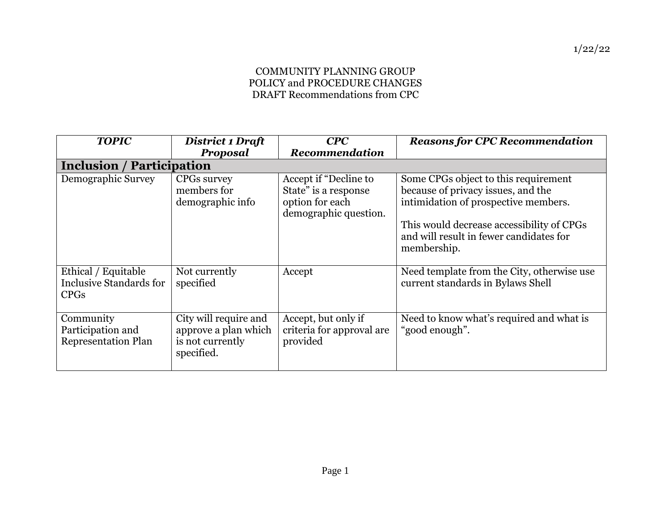## COMMUNITY PLANNING GROUP POLICY and PROCEDURE CHANGES DRAFT Recommendations from CPC

| <b>TOPIC</b>                                                         | District 1 Draft<br><b>Proposal</b>                                             | CPC<br><b>Recommendation</b>                                                              | <b>Reasons for CPC Recommendation</b>                                                                                                                                                                                     |
|----------------------------------------------------------------------|---------------------------------------------------------------------------------|-------------------------------------------------------------------------------------------|---------------------------------------------------------------------------------------------------------------------------------------------------------------------------------------------------------------------------|
| <b>Inclusion / Participation</b>                                     |                                                                                 |                                                                                           |                                                                                                                                                                                                                           |
| Demographic Survey                                                   | CPGs survey<br>members for<br>demographic info                                  | Accept if "Decline to<br>State" is a response<br>option for each<br>demographic question. | Some CPGs object to this requirement<br>because of privacy issues, and the<br>intimidation of prospective members.<br>This would decrease accessibility of CPGs<br>and will result in fewer candidates for<br>membership. |
| Ethical / Equitable<br><b>Inclusive Standards for</b><br><b>CPGs</b> | Not currently<br>specified                                                      | Accept                                                                                    | Need template from the City, otherwise use<br>current standards in Bylaws Shell                                                                                                                                           |
| Community<br>Participation and<br><b>Representation Plan</b>         | City will require and<br>approve a plan which<br>is not currently<br>specified. | Accept, but only if<br>criteria for approval are<br>provided                              | Need to know what's required and what is<br>"good enough".                                                                                                                                                                |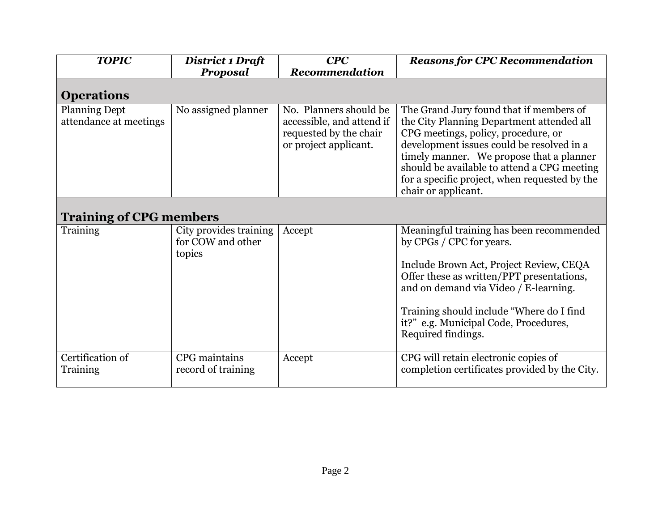| <b>TOPIC</b>                                   | District 1 Draft                                      | CPC                                                                                                    | <b>Reasons for CPC Recommendation</b>                                                                                                                                                                                                                                                                                                       |  |
|------------------------------------------------|-------------------------------------------------------|--------------------------------------------------------------------------------------------------------|---------------------------------------------------------------------------------------------------------------------------------------------------------------------------------------------------------------------------------------------------------------------------------------------------------------------------------------------|--|
|                                                | Proposal                                              | <b>Recommendation</b>                                                                                  |                                                                                                                                                                                                                                                                                                                                             |  |
| <b>Operations</b>                              |                                                       |                                                                                                        |                                                                                                                                                                                                                                                                                                                                             |  |
| <b>Planning Dept</b><br>attendance at meetings | No assigned planner                                   | No. Planners should be<br>accessible, and attend if<br>requested by the chair<br>or project applicant. | The Grand Jury found that if members of<br>the City Planning Department attended all<br>CPG meetings, policy, procedure, or<br>development issues could be resolved in a<br>timely manner. We propose that a planner<br>should be available to attend a CPG meeting<br>for a specific project, when requested by the<br>chair or applicant. |  |
| <b>Training of CPG members</b>                 |                                                       |                                                                                                        |                                                                                                                                                                                                                                                                                                                                             |  |
| Training                                       | City provides training<br>for COW and other<br>topics | Accept                                                                                                 | Meaningful training has been recommended<br>by CPGs / CPC for years.<br>Include Brown Act, Project Review, CEQA<br>Offer these as written/PPT presentations,<br>and on demand via Video / E-learning.<br>Training should include "Where do I find<br>it?" e.g. Municipal Code, Procedures,<br>Required findings.                            |  |
| Certification of<br>Training                   | CPG maintains<br>record of training                   | Accept                                                                                                 | CPG will retain electronic copies of<br>completion certificates provided by the City.                                                                                                                                                                                                                                                       |  |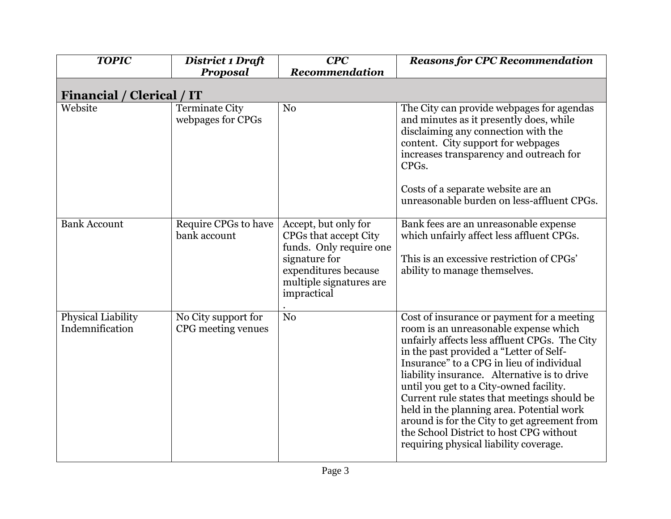| <b>TOPIC</b>                          | <b>District 1 Draft</b>                   | CPC                                                                                                                                                         | <b>Reasons for CPC Recommendation</b>                                                                                                                                                                                                                                                                                                                                                                                                                                                                                                                    |
|---------------------------------------|-------------------------------------------|-------------------------------------------------------------------------------------------------------------------------------------------------------------|----------------------------------------------------------------------------------------------------------------------------------------------------------------------------------------------------------------------------------------------------------------------------------------------------------------------------------------------------------------------------------------------------------------------------------------------------------------------------------------------------------------------------------------------------------|
|                                       | Proposal                                  | Recommendation                                                                                                                                              |                                                                                                                                                                                                                                                                                                                                                                                                                                                                                                                                                          |
| Financial /<br><b>Clerical</b> / IT   |                                           |                                                                                                                                                             |                                                                                                                                                                                                                                                                                                                                                                                                                                                                                                                                                          |
| Website                               | Terminate City<br>webpages for CPGs       | N <sub>0</sub>                                                                                                                                              | The City can provide webpages for agendas<br>and minutes as it presently does, while<br>disclaiming any connection with the<br>content. City support for webpages<br>increases transparency and outreach for<br>CPGs.<br>Costs of a separate website are an<br>unreasonable burden on less-affluent CPGs.                                                                                                                                                                                                                                                |
| <b>Bank Account</b>                   | Require CPGs to have<br>bank account      | Accept, but only for<br>CPGs that accept City<br>funds. Only require one<br>signature for<br>expenditures because<br>multiple signatures are<br>impractical | Bank fees are an unreasonable expense<br>which unfairly affect less affluent CPGs.<br>This is an excessive restriction of CPGs'<br>ability to manage themselves.                                                                                                                                                                                                                                                                                                                                                                                         |
| Physical Liability<br>Indemnification | No City support for<br>CPG meeting venues | N <sub>o</sub>                                                                                                                                              | Cost of insurance or payment for a meeting<br>room is an unreasonable expense which<br>unfairly affects less affluent CPGs. The City<br>in the past provided a "Letter of Self-<br>Insurance" to a CPG in lieu of individual<br>liability insurance. Alternative is to drive<br>until you get to a City-owned facility.<br>Current rule states that meetings should be<br>held in the planning area. Potential work<br>around is for the City to get agreement from<br>the School District to host CPG without<br>requiring physical liability coverage. |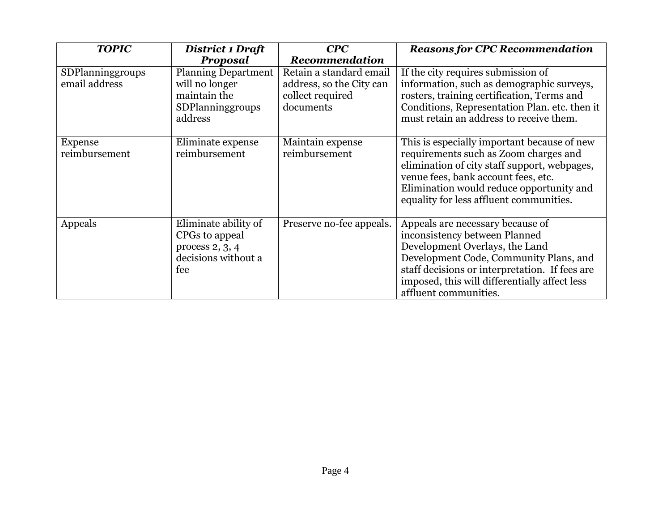| <b>TOPIC</b>                      | District 1 Draft                                                                            | CPC                                                                                  | <b>Reasons for CPC Recommendation</b>                                                                                                                                                                                                                                     |
|-----------------------------------|---------------------------------------------------------------------------------------------|--------------------------------------------------------------------------------------|---------------------------------------------------------------------------------------------------------------------------------------------------------------------------------------------------------------------------------------------------------------------------|
|                                   | Proposal                                                                                    | <b>Recommendation</b>                                                                |                                                                                                                                                                                                                                                                           |
| SDPlanninggroups<br>email address | <b>Planning Department</b><br>will no longer<br>maintain the<br>SDPlanninggroups<br>address | Retain a standard email<br>address, so the City can<br>collect required<br>documents | If the city requires submission of<br>information, such as demographic surveys,<br>rosters, training certification, Terms and<br>Conditions, Representation Plan. etc. then it<br>must retain an address to receive them.                                                 |
| Expense<br>reimbursement          | Eliminate expense<br>reimbursement                                                          | Maintain expense<br>reimbursement                                                    | This is especially important because of new<br>requirements such as Zoom charges and<br>elimination of city staff support, webpages,<br>venue fees, bank account fees, etc.<br>Elimination would reduce opportunity and<br>equality for less affluent communities.        |
| Appeals                           | Eliminate ability of<br>CPGs to appeal<br>process $2, 3, 4$<br>decisions without a<br>fee   | Preserve no-fee appeals.                                                             | Appeals are necessary because of<br>inconsistency between Planned<br>Development Overlays, the Land<br>Development Code, Community Plans, and<br>staff decisions or interpretation. If fees are<br>imposed, this will differentially affect less<br>affluent communities. |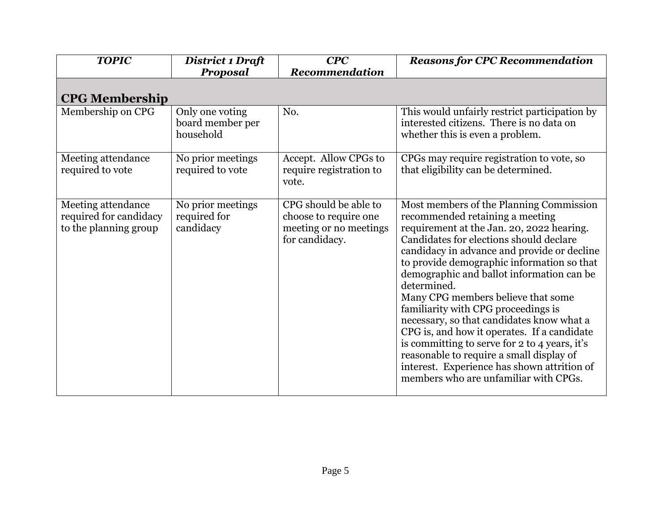| <b>TOPIC</b>                                                          | District 1 Draft                                 | CPC                                                                                        | <b>Reasons for CPC Recommendation</b>                                                                                                                                                                                                                                                                                                                                                                                                                                                                                                                                                                                                                                                     |
|-----------------------------------------------------------------------|--------------------------------------------------|--------------------------------------------------------------------------------------------|-------------------------------------------------------------------------------------------------------------------------------------------------------------------------------------------------------------------------------------------------------------------------------------------------------------------------------------------------------------------------------------------------------------------------------------------------------------------------------------------------------------------------------------------------------------------------------------------------------------------------------------------------------------------------------------------|
|                                                                       | Proposal                                         | Recommendation                                                                             |                                                                                                                                                                                                                                                                                                                                                                                                                                                                                                                                                                                                                                                                                           |
| <b>CPG Membership</b>                                                 |                                                  |                                                                                            |                                                                                                                                                                                                                                                                                                                                                                                                                                                                                                                                                                                                                                                                                           |
| Membership on CPG                                                     | Only one voting<br>board member per<br>household | No.                                                                                        | This would unfairly restrict participation by<br>interested citizens. There is no data on<br>whether this is even a problem.                                                                                                                                                                                                                                                                                                                                                                                                                                                                                                                                                              |
| Meeting attendance<br>required to vote                                | No prior meetings<br>required to vote            | Accept. Allow CPGs to<br>require registration to<br>vote.                                  | CPGs may require registration to vote, so<br>that eligibility can be determined.                                                                                                                                                                                                                                                                                                                                                                                                                                                                                                                                                                                                          |
| Meeting attendance<br>required for candidacy<br>to the planning group | No prior meetings<br>required for<br>candidacy   | CPG should be able to<br>choose to require one<br>meeting or no meetings<br>for candidacy. | Most members of the Planning Commission<br>recommended retaining a meeting<br>requirement at the Jan. 20, 2022 hearing.<br>Candidates for elections should declare<br>candidacy in advance and provide or decline<br>to provide demographic information so that<br>demographic and ballot information can be<br>determined.<br>Many CPG members believe that some<br>familiarity with CPG proceedings is<br>necessary, so that candidates know what a<br>CPG is, and how it operates. If a candidate<br>is committing to serve for 2 to 4 years, it's<br>reasonable to require a small display of<br>interest. Experience has shown attrition of<br>members who are unfamiliar with CPGs. |